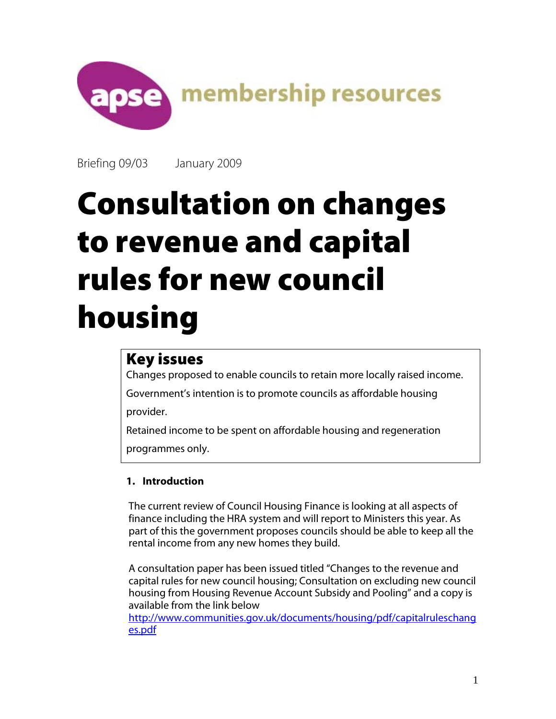

Briefing 09/03 January 2009

# Consultation on changes to revenue and capital rules for new council housing

# Key issues

Changes proposed to enable councils to retain more locally raised income.

Government's intention is to promote councils as affordable housing provider.

Retained income to be spent on affordable housing and regeneration

programmes only.

# **1. Introduction**

The current review of Council Housing Finance is looking at all aspects of finance including the HRA system and will report to Ministers this year. As part of this the government proposes councils should be able to keep all the rental income from any new homes they build.

A consultation paper has been issued titled "Changes to the revenue and capital rules for new council housing; Consultation on excluding new council housing from Housing Revenue Account Subsidy and Pooling" and a copy is available from the link below

http://www.communities.gov.uk/documents/housing/pdf/capitalruleschang es.pdf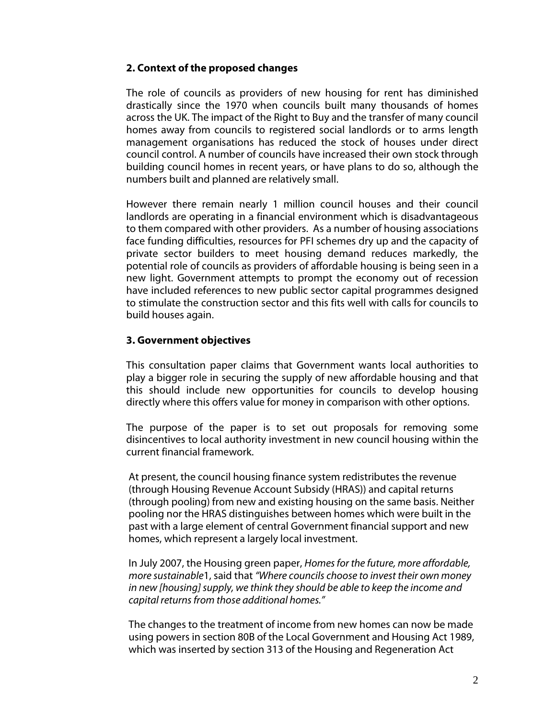# **2. Context of the proposed changes**

The role of councils as providers of new housing for rent has diminished drastically since the 1970 when councils built many thousands of homes across the UK. The impact of the Right to Buy and the transfer of many council homes away from councils to registered social landlords or to arms length management organisations has reduced the stock of houses under direct council control. A number of councils have increased their own stock through building council homes in recent years, or have plans to do so, although the numbers built and planned are relatively small.

However there remain nearly 1 million council houses and their council landlords are operating in a financial environment which is disadvantageous to them compared with other providers. As a number of housing associations face funding difficulties, resources for PFI schemes dry up and the capacity of private sector builders to meet housing demand reduces markedly, the potential role of councils as providers of affordable housing is being seen in a new light. Government attempts to prompt the economy out of recession have included references to new public sector capital programmes designed to stimulate the construction sector and this fits well with calls for councils to build houses again.

#### **3. Government objectives**

This consultation paper claims that Government wants local authorities to play a bigger role in securing the supply of new affordable housing and that this should include new opportunities for councils to develop housing directly where this offers value for money in comparison with other options.

The purpose of the paper is to set out proposals for removing some disincentives to local authority investment in new council housing within the current financial framework.

At present, the council housing finance system redistributes the revenue (through Housing Revenue Account Subsidy (HRAS)) and capital returns (through pooling) from new and existing housing on the same basis. Neither pooling nor the HRAS distinguishes between homes which were built in the past with a large element of central Government financial support and new homes, which represent a largely local investment.

In July 2007, the Housing green paper, *Homes for the future, more affordable, more sustainable*1, said that *"Where councils choose to invest their own money in new [housing] supply, we think they should be able to keep the income and capital returns from those additional homes."*

The changes to the treatment of income from new homes can now be made using powers in section 80B of the Local Government and Housing Act 1989, which was inserted by section 313 of the Housing and Regeneration Act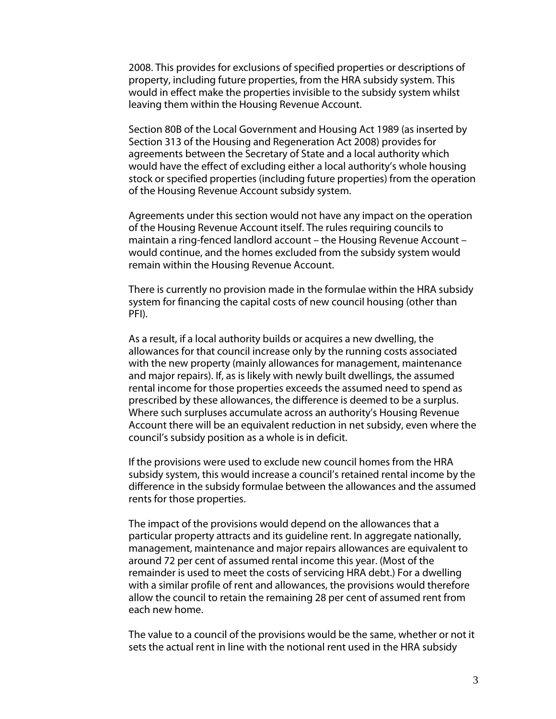2008. This provides for exclusions of specified properties or descriptions of property, including future properties, from the HRA subsidy system. This would in effect make the properties invisible to the subsidy system whilst leaving them within the Housing Revenue Account.

Section 80B of the Local Government and Housing Act 1989 (as inserted by Section 313 of the Housing and Regeneration Act 2008) provides for agreements between the Secretary of State and a local authority which would have the effect of excluding either a local authority's whole housing stock or specified properties (including future properties) from the operation of the Housing Revenue Account subsidy system.

Agreements under this section would not have any impact on the operation of the Housing Revenue Account itself. The rules requiring councils to maintain a ring-fenced landlord account – the Housing Revenue Account – would continue, and the homes excluded from the subsidy system would remain within the Housing Revenue Account.

There is currently no provision made in the formulae within the HRA subsidy system for financing the capital costs of new council housing (other than PFI).

As a result, if a local authority builds or acquires a new dwelling, the allowances for that council increase only by the running costs associated with the new property (mainly allowances for management, maintenance and major repairs). If, as is likely with newly built dwellings, the assumed rental income for those properties exceeds the assumed need to spend as prescribed by these allowances, the difference is deemed to be a surplus. Where such surpluses accumulate across an authority's Housing Revenue Account there will be an equivalent reduction in net subsidy, even where the council's subsidy position as a whole is in deficit.

If the provisions were used to exclude new council homes from the HRA subsidy system, this would increase a council's retained rental income by the difference in the subsidy formulae between the allowances and the assumed rents for those properties.

The impact of the provisions would depend on the allowances that a particular property attracts and its guideline rent. In aggregate nationally, management, maintenance and major repairs allowances are equivalent to around 72 per cent of assumed rental income this year. (Most of the remainder is used to meet the costs of servicing HRA debt.) For a dwelling with a similar profile of rent and allowances, the provisions would therefore allow the council to retain the remaining 28 per cent of assumed rent from each new home.

The value to a council of the provisions would be the same, whether or not it sets the actual rent in line with the notional rent used in the HRA subsidy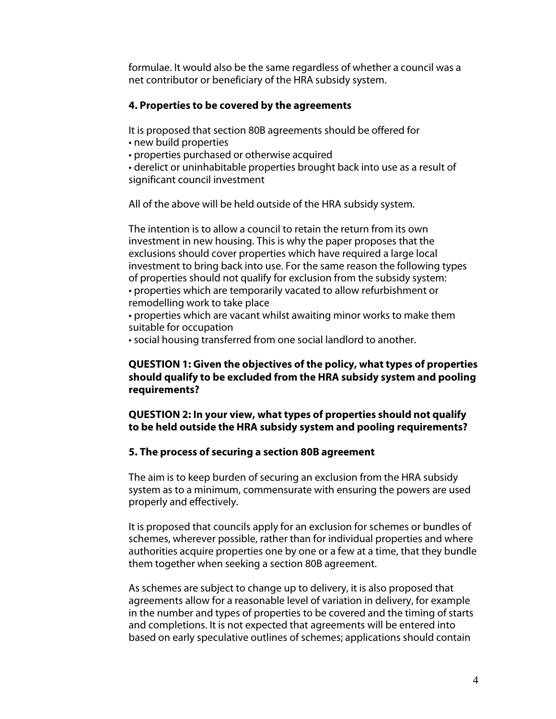formulae. It would also be the same regardless of whether a council was a net contributor or beneficiary of the HRA subsidy system.

#### **4. Properties to be covered by the agreements**

It is proposed that section 80B agreements should be offered for

- new build properties
- properties purchased or otherwise acquired

• derelict or uninhabitable properties brought back into use as a result of significant council investment

All of the above will be held outside of the HRA subsidy system.

The intention is to allow a council to retain the return from its own investment in new housing. This is why the paper proposes that the exclusions should cover properties which have required a large local investment to bring back into use. For the same reason the following types of properties should not qualify for exclusion from the subsidy system: • properties which are temporarily vacated to allow refurbishment or remodelling work to take place

• properties which are vacant whilst awaiting minor works to make them suitable for occupation

• social housing transferred from one social landlord to another.

#### **QUESTION 1: Given the objectives of the policy, what types of properties should qualify to be excluded from the HRA subsidy system and pooling requirements?**

# **QUESTION 2: In your view, what types of properties should not qualify to be held outside the HRA subsidy system and pooling requirements?**

# **5. The process of securing a section 80B agreement**

The aim is to keep burden of securing an exclusion from the HRA subsidy system as to a minimum, commensurate with ensuring the powers are used properly and effectively.

It is proposed that councils apply for an exclusion for schemes or bundles of schemes, wherever possible, rather than for individual properties and where authorities acquire properties one by one or a few at a time, that they bundle them together when seeking a section 80B agreement.

As schemes are subject to change up to delivery, it is also proposed that agreements allow for a reasonable level of variation in delivery, for example in the number and types of properties to be covered and the timing of starts and completions. It is not expected that agreements will be entered into based on early speculative outlines of schemes; applications should contain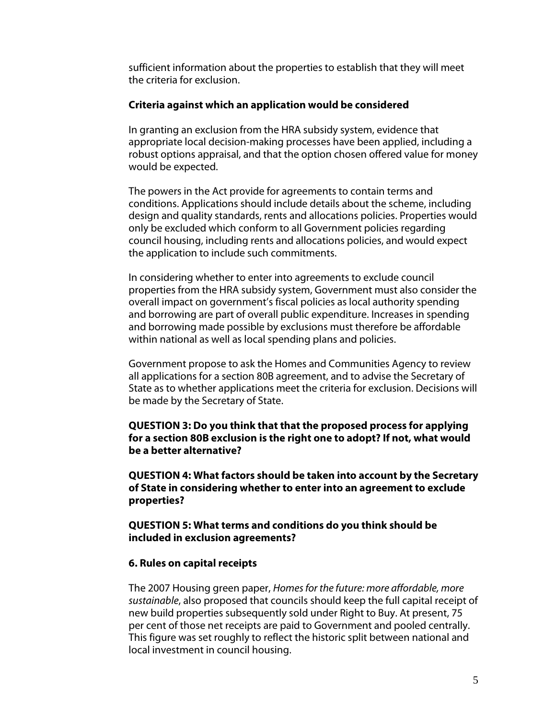sufficient information about the properties to establish that they will meet the criteria for exclusion.

#### **Criteria against which an application would be considered**

In granting an exclusion from the HRA subsidy system, evidence that appropriate local decision-making processes have been applied, including a robust options appraisal, and that the option chosen offered value for money would be expected.

The powers in the Act provide for agreements to contain terms and conditions. Applications should include details about the scheme, including design and quality standards, rents and allocations policies. Properties would only be excluded which conform to all Government policies regarding council housing, including rents and allocations policies, and would expect the application to include such commitments.

In considering whether to enter into agreements to exclude council properties from the HRA subsidy system, Government must also consider the overall impact on government's fiscal policies as local authority spending and borrowing are part of overall public expenditure. Increases in spending and borrowing made possible by exclusions must therefore be affordable within national as well as local spending plans and policies.

Government propose to ask the Homes and Communities Agency to review all applications for a section 80B agreement, and to advise the Secretary of State as to whether applications meet the criteria for exclusion. Decisions will be made by the Secretary of State.

**QUESTION 3: Do you think that that the proposed process for applying for a section 80B exclusion is the right one to adopt? If not, what would be a better alternative?**

**QUESTION 4: What factors should be taken into account by the Secretary of State in considering whether to enter into an agreement to exclude properties?**

**QUESTION 5: What terms and conditions do you think should be included in exclusion agreements?**

#### **6. Rules on capital receipts**

The 2007 Housing green paper, *Homes for the future: more affordable, more sustainable*, also proposed that councils should keep the full capital receipt of new build properties subsequently sold under Right to Buy. At present, 75 per cent of those net receipts are paid to Government and pooled centrally. This figure was set roughly to reflect the historic split between national and local investment in council housing.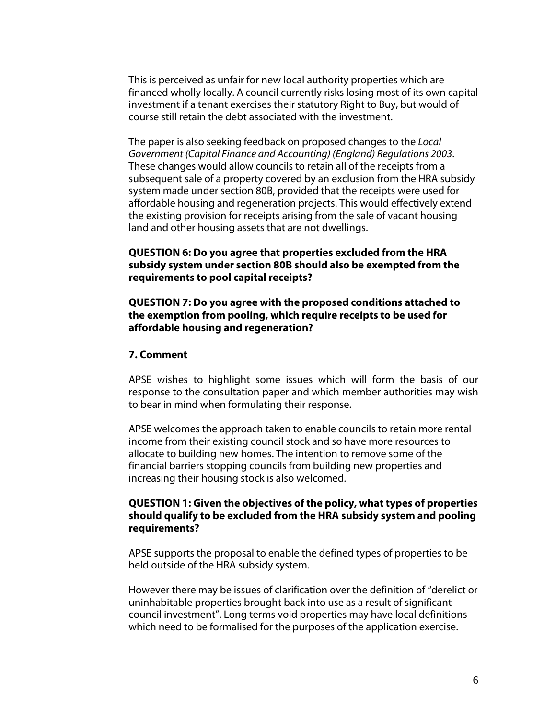This is perceived as unfair for new local authority properties which are financed wholly locally. A council currently risks losing most of its own capital investment if a tenant exercises their statutory Right to Buy, but would of course still retain the debt associated with the investment.

The paper is also seeking feedback on proposed changes to the *Local Government (Capital Finance and Accounting) (England) Regulations 2003*. These changes would allow councils to retain all of the receipts from a subsequent sale of a property covered by an exclusion from the HRA subsidy system made under section 80B, provided that the receipts were used for affordable housing and regeneration projects. This would effectively extend the existing provision for receipts arising from the sale of vacant housing land and other housing assets that are not dwellings.

**QUESTION 6: Do you agree that properties excluded from the HRA subsidy system under section 80B should also be exempted from the requirements to pool capital receipts?**

**QUESTION 7: Do you agree with the proposed conditions attached to the exemption from pooling, which require receipts to be used for affordable housing and regeneration?**

#### **7. Comment**

APSE wishes to highlight some issues which will form the basis of our response to the consultation paper and which member authorities may wish to bear in mind when formulating their response.

APSE welcomes the approach taken to enable councils to retain more rental income from their existing council stock and so have more resources to allocate to building new homes. The intention to remove some of the financial barriers stopping councils from building new properties and increasing their housing stock is also welcomed.

#### **QUESTION 1: Given the objectives of the policy, what types of properties should qualify to be excluded from the HRA subsidy system and pooling requirements?**

APSE supports the proposal to enable the defined types of properties to be held outside of the HRA subsidy system.

However there may be issues of clarification over the definition of "derelict or uninhabitable properties brought back into use as a result of significant council investment". Long terms void properties may have local definitions which need to be formalised for the purposes of the application exercise.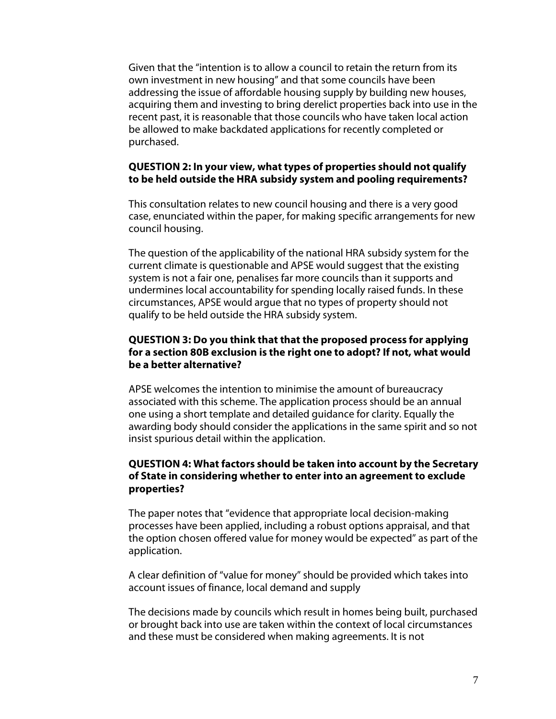Given that the "intention is to allow a council to retain the return from its own investment in new housing" and that some councils have been addressing the issue of affordable housing supply by building new houses, acquiring them and investing to bring derelict properties back into use in the recent past, it is reasonable that those councils who have taken local action be allowed to make backdated applications for recently completed or purchased.

#### **QUESTION 2: In your view, what types of properties should not qualify to be held outside the HRA subsidy system and pooling requirements?**

This consultation relates to new council housing and there is a very good case, enunciated within the paper, for making specific arrangements for new council housing.

The question of the applicability of the national HRA subsidy system for the current climate is questionable and APSE would suggest that the existing system is not a fair one, penalises far more councils than it supports and undermines local accountability for spending locally raised funds. In these circumstances, APSE would argue that no types of property should not qualify to be held outside the HRA subsidy system.

# **QUESTION 3: Do you think that that the proposed process for applying for a section 80B exclusion is the right one to adopt? If not, what would be a better alternative?**

APSE welcomes the intention to minimise the amount of bureaucracy associated with this scheme. The application process should be an annual one using a short template and detailed guidance for clarity. Equally the awarding body should consider the applications in the same spirit and so not insist spurious detail within the application.

# **QUESTION 4: What factors should be taken into account by the Secretary of State in considering whether to enter into an agreement to exclude properties?**

The paper notes that "evidence that appropriate local decision-making processes have been applied, including a robust options appraisal, and that the option chosen offered value for money would be expected" as part of the application.

A clear definition of "value for money" should be provided which takes into account issues of finance, local demand and supply

The decisions made by councils which result in homes being built, purchased or brought back into use are taken within the context of local circumstances and these must be considered when making agreements. It is not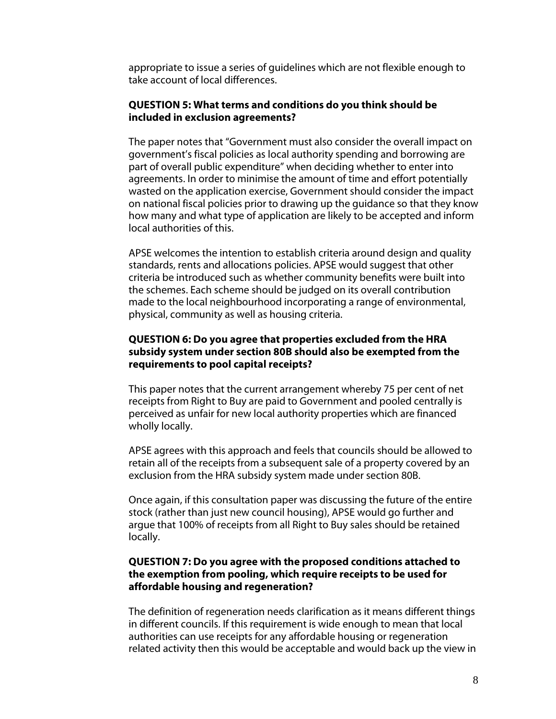appropriate to issue a series of guidelines which are not flexible enough to take account of local differences.

#### **QUESTION 5: What terms and conditions do you think should be included in exclusion agreements?**

The paper notes that "Government must also consider the overall impact on government's fiscal policies as local authority spending and borrowing are part of overall public expenditure" when deciding whether to enter into agreements. In order to minimise the amount of time and effort potentially wasted on the application exercise, Government should consider the impact on national fiscal policies prior to drawing up the guidance so that they know how many and what type of application are likely to be accepted and inform local authorities of this.

APSE welcomes the intention to establish criteria around design and quality standards, rents and allocations policies. APSE would suggest that other criteria be introduced such as whether community benefits were built into the schemes. Each scheme should be judged on its overall contribution made to the local neighbourhood incorporating a range of environmental, physical, community as well as housing criteria.

# **QUESTION 6: Do you agree that properties excluded from the HRA subsidy system under section 80B should also be exempted from the requirements to pool capital receipts?**

This paper notes that the current arrangement whereby 75 per cent of net receipts from Right to Buy are paid to Government and pooled centrally is perceived as unfair for new local authority properties which are financed wholly locally.

APSE agrees with this approach and feels that councils should be allowed to retain all of the receipts from a subsequent sale of a property covered by an exclusion from the HRA subsidy system made under section 80B.

Once again, if this consultation paper was discussing the future of the entire stock (rather than just new council housing), APSE would go further and argue that 100% of receipts from all Right to Buy sales should be retained locally.

#### **QUESTION 7: Do you agree with the proposed conditions attached to the exemption from pooling, which require receipts to be used for affordable housing and regeneration?**

The definition of regeneration needs clarification as it means different things in different councils. If this requirement is wide enough to mean that local authorities can use receipts for any affordable housing or regeneration related activity then this would be acceptable and would back up the view in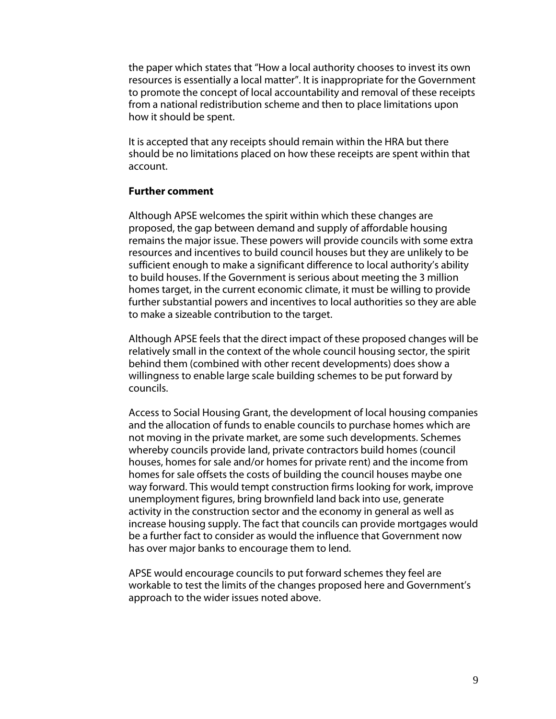the paper which states that "How a local authority chooses to invest its own resources is essentially a local matter". It is inappropriate for the Government to promote the concept of local accountability and removal of these receipts from a national redistribution scheme and then to place limitations upon how it should be spent.

It is accepted that any receipts should remain within the HRA but there should be no limitations placed on how these receipts are spent within that account.

#### **Further comment**

Although APSE welcomes the spirit within which these changes are proposed, the gap between demand and supply of affordable housing remains the major issue. These powers will provide councils with some extra resources and incentives to build council houses but they are unlikely to be sufficient enough to make a significant difference to local authority's ability to build houses. If the Government is serious about meeting the 3 million homes target, in the current economic climate, it must be willing to provide further substantial powers and incentives to local authorities so they are able to make a sizeable contribution to the target.

Although APSE feels that the direct impact of these proposed changes will be relatively small in the context of the whole council housing sector, the spirit behind them (combined with other recent developments) does show a willingness to enable large scale building schemes to be put forward by councils.

Access to Social Housing Grant, the development of local housing companies and the allocation of funds to enable councils to purchase homes which are not moving in the private market, are some such developments. Schemes whereby councils provide land, private contractors build homes (council houses, homes for sale and/or homes for private rent) and the income from homes for sale offsets the costs of building the council houses maybe one way forward. This would tempt construction firms looking for work, improve unemployment figures, bring brownfield land back into use, generate activity in the construction sector and the economy in general as well as increase housing supply. The fact that councils can provide mortgages would be a further fact to consider as would the influence that Government now has over major banks to encourage them to lend.

APSE would encourage councils to put forward schemes they feel are workable to test the limits of the changes proposed here and Government's approach to the wider issues noted above.